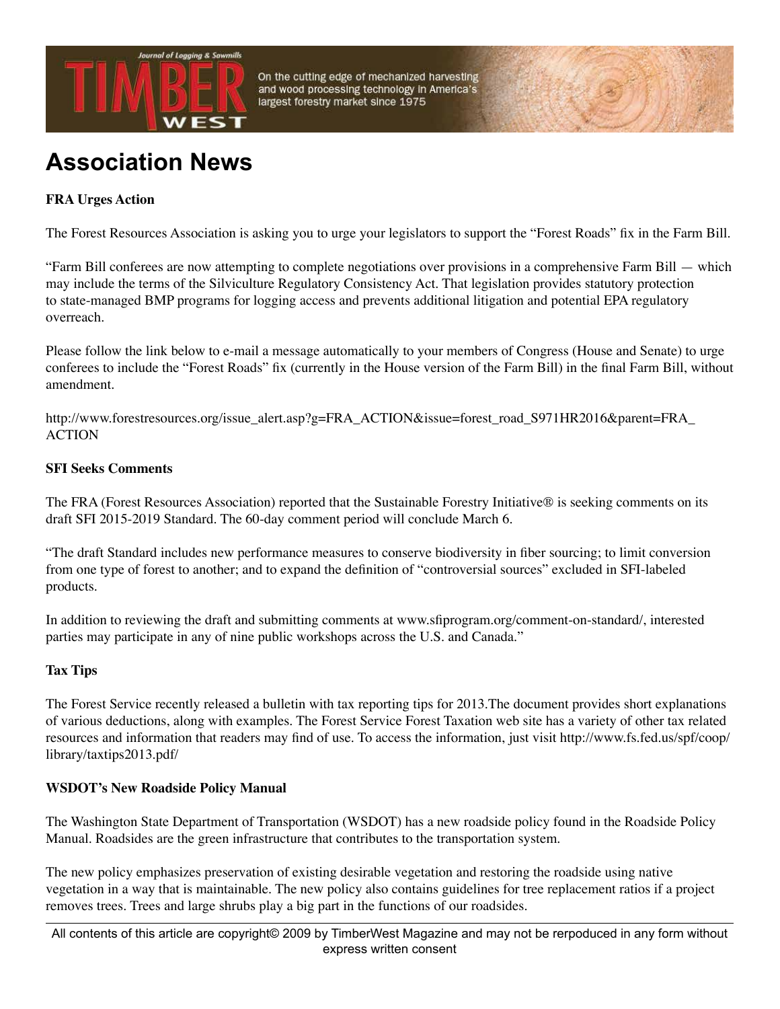

On the cutting edge of mechanized harvesting and wood processing technology in America's largest forestry market since 1975

# **Association News**

## **FRA Urges Action**

The Forest Resources Association is asking you to urge your legislators to support the "Forest Roads" fix in the Farm Bill.

"Farm Bill conferees are now attempting to complete negotiations over provisions in a comprehensive Farm Bill — which may include the terms of the Silviculture Regulatory Consistency Act. That legislation provides statutory protection to state-managed BMP programs for logging access and prevents additional litigation and potential EPA regulatory overreach.

Please follow the link below to e-mail a message automatically to your members of Congress (House and Senate) to urge conferees to include the "Forest Roads" fix (currently in the House version of the Farm Bill) in the final Farm Bill, without amendment.

http://www.forestresources.org/issue\_alert.asp?g=FRA\_ACTION&issue=forest\_road\_S971HR2016&parent=FRA\_ **ACTION** 

#### **SFI Seeks Comments**

The FRA (Forest Resources Association) reported that the Sustainable Forestry Initiative® is seeking comments on its draft SFI 2015-2019 Standard. The 60-day comment period will conclude March 6.

"The draft Standard includes new performance measures to conserve biodiversity in fiber sourcing; to limit conversion from one type of forest to another; and to expand the definition of "controversial sources" excluded in SFI-labeled products.

In addition to reviewing the draft and submitting comments at www.sfiprogram.org/comment-on-standard/, interested parties may participate in any of nine public workshops across the U.S. and Canada."

#### **Tax Tips**

The Forest Service recently released a bulletin with tax reporting tips for 2013.The document provides short explanations of various deductions, along with examples. The Forest Service Forest Taxation web site has a variety of other tax related resources and information that readers may find of use. To access the information, just visit http://www.fs.fed.us/spf/coop/ library/taxtips2013.pdf/

#### **WSDOT's New Roadside Policy Manual**

The Washington State Department of Transportation (WSDOT) has a new roadside policy found in the Roadside Policy Manual. Roadsides are the green infrastructure that contributes to the transportation system.

The new policy emphasizes preservation of existing desirable vegetation and restoring the roadside using native vegetation in a way that is maintainable. The new policy also contains guidelines for tree replacement ratios if a project removes trees. Trees and large shrubs play a big part in the functions of our roadsides.

All contents of this article are copyright© 2009 by TimberWest Magazine and may not be rerpoduced in any form without express written consent